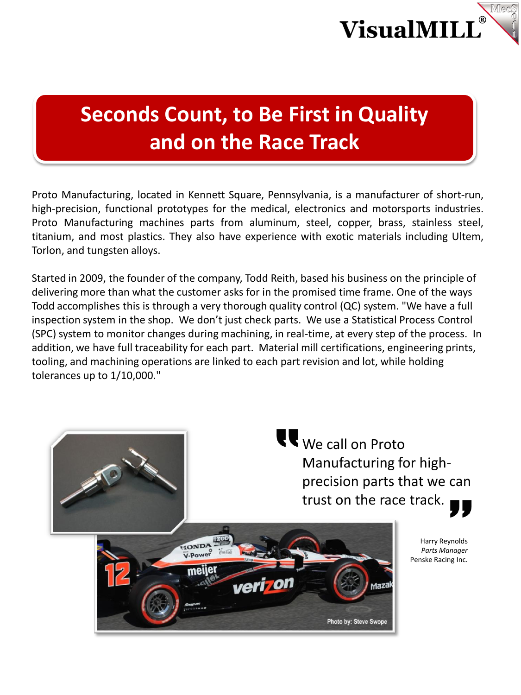

# **Seconds Count, to Be First in Quality and on the Race Track**

Proto Manufacturing, located in Kennett Square, Pennsylvania, is a manufacturer of short-run, high-precision, functional prototypes for the medical, electronics and motorsports industries. Proto Manufacturing machines parts from aluminum, steel, copper, brass, stainless steel, titanium, and most plastics. They also have experience with exotic materials including Ultem, Torlon, and tungsten alloys.

Started in 2009, the founder of the company, Todd Reith, based his business on the principle of delivering more than what the customer asks for in the promised time frame. One of the ways Todd accomplishes this is through a very thorough quality control (QC) system. "We have a full inspection system in the shop. We don't just check parts. We use a Statistical Process Control (SPC) system to monitor changes during machining, in real-time, at every step of the process. In addition, we have full traceability for each part. Material mill certifications, engineering prints, tooling, and machining operations are linked to each part revision and lot, while holding tolerances up to 1/10,000."

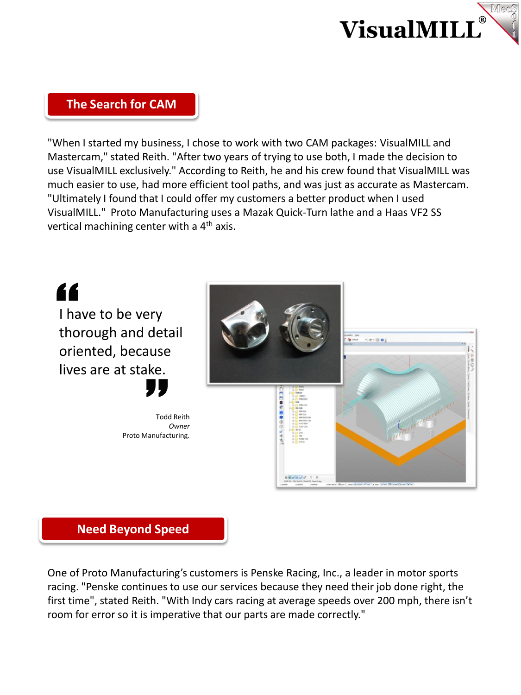

### **The Search for CAM**

"When I started my business, I chose to work with two CAM packages: VisualMILL and Mastercam," stated Reith. "After two years of trying to use both, I made the decision to use VisualMILL exclusively." According to Reith, he and his crew found that VisualMILL was much easier to use, had more efficient tool paths, and was just as accurate as Mastercam. "Ultimately I found that I could offer my customers a better product when I used VisualMILL." Proto Manufacturing uses a Mazak Quick-Turn lathe and a Haas VF2 SS vertical machining center with a  $4<sup>th</sup>$  axis.





One of Proto Manufacturing's customers is Penske Racing, Inc., a leader in motor sports racing. "Penske continues to use our services because they need their job done right, the first time", stated Reith. "With Indy cars racing at average speeds over 200 mph, there isn't room for error so it is imperative that our parts are made correctly."